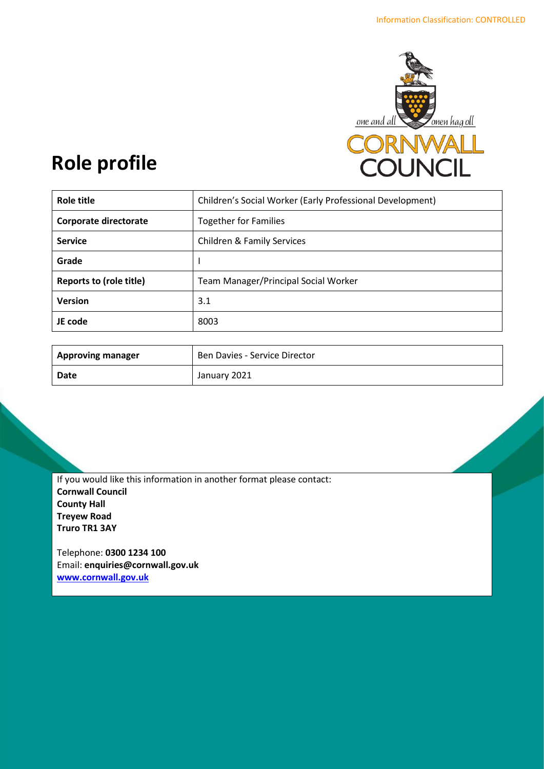

# **Role profile**

| Role title                     | Children's Social Worker (Early Professional Development) |
|--------------------------------|-----------------------------------------------------------|
| Corporate directorate          | <b>Together for Families</b>                              |
| <b>Service</b>                 | <b>Children &amp; Family Services</b>                     |
| Grade                          |                                                           |
| <b>Reports to (role title)</b> | Team Manager/Principal Social Worker                      |
| <b>Version</b>                 | 3.1                                                       |
| JE code                        | 8003                                                      |

| <b>Approving manager</b> | Ben Davies - Service Director |
|--------------------------|-------------------------------|
| Date                     | January 2021                  |

If you would like this information in another format please contact: **Cornwall Council County Hall Treyew Road Truro TR1 3AY**

Telephone: **0300 1234 100** Email: **[enquiries@cornwall.gov.uk](mailto:enquiries@cornwall.gov.uk) [www.cornwall.gov.uk](http://www.cornwall.gov.uk/)**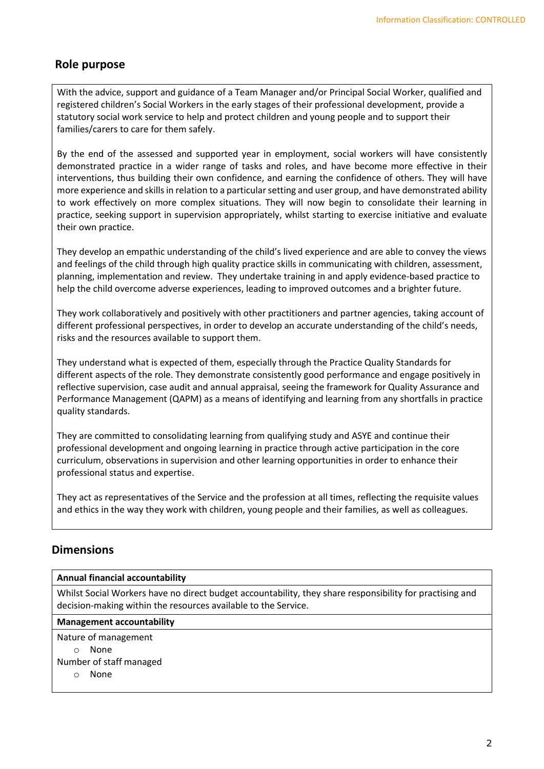# **Role purpose**

With the advice, support and guidance of a Team Manager and/or Principal Social Worker, qualified and registered children's Social Workers in the early stages of their professional development, provide a statutory social work service to help and protect children and young people and to support their families/carers to care for them safely.

By the end of the assessed and supported year in employment, social workers will have consistently demonstrated practice in a wider range of tasks and roles, and have become more effective in their interventions, thus building their own confidence, and earning the confidence of others. They will have more experience and skills in relation to a particular setting and user group, and have demonstrated ability to work effectively on more complex situations. They will now begin to consolidate their learning in practice, seeking support in supervision appropriately, whilst starting to exercise initiative and evaluate their own practice.

They develop an empathic understanding of the child's lived experience and are able to convey the views and feelings of the child through high quality practice skills in communicating with children, assessment, planning, implementation and review. They undertake training in and apply evidence-based practice to help the child overcome adverse experiences, leading to improved outcomes and a brighter future.

They work collaboratively and positively with other practitioners and partner agencies, taking account of different professional perspectives, in order to develop an accurate understanding of the child's needs, risks and the resources available to support them.

They understand what is expected of them, especially through the Practice Quality Standards for different aspects of the role. They demonstrate consistently good performance and engage positively in reflective supervision, case audit and annual appraisal, seeing the framework for Quality Assurance and Performance Management (QAPM) as a means of identifying and learning from any shortfalls in practice quality standards.

They are committed to consolidating learning from qualifying study and ASYE and continue their professional development and ongoing learning in practice through active participation in the core curriculum, observations in supervision and other learning opportunities in order to enhance their professional status and expertise.

They act as representatives of the Service and the profession at all times, reflecting the requisite values and ethics in the way they work with children, young people and their families, as well as colleagues.

## **Dimensions**

#### **Annual financial accountability**

Whilst Social Workers have no direct budget accountability, they share responsibility for practising and decision-making within the resources available to the Service.

#### **Management accountability**

Nature of management

o None

Number of staff managed

o None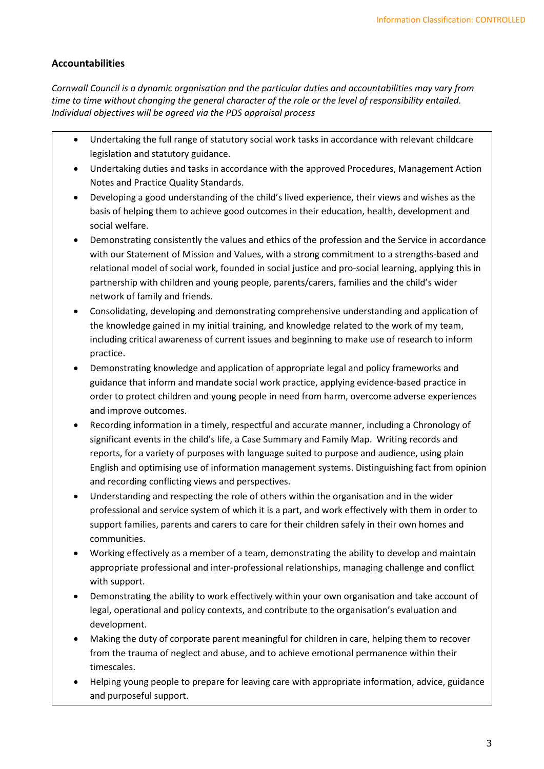#### **Accountabilities**

*Cornwall Council is a dynamic organisation and the particular duties and accountabilities may vary from time to time without changing the general character of the role or the level of responsibility entailed. Individual objectives will be agreed via the PDS appraisal process* 

- Undertaking the full range of statutory social work tasks in accordance with relevant childcare legislation and statutory guidance.
- Undertaking duties and tasks in accordance with the approved Procedures, Management Action Notes and Practice Quality Standards.
- Developing a good understanding of the child's lived experience, their views and wishes as the basis of helping them to achieve good outcomes in their education, health, development and social welfare.
- Demonstrating consistently the values and ethics of the profession and the Service in accordance with our Statement of Mission and Values, with a strong commitment to a strengths-based and relational model of social work, founded in social justice and pro-social learning, applying this in partnership with children and young people, parents/carers, families and the child's wider network of family and friends.
- Consolidating, developing and demonstrating comprehensive understanding and application of the knowledge gained in my initial training, and knowledge related to the work of my team, including critical awareness of current issues and beginning to make use of research to inform practice.
- Demonstrating knowledge and application of appropriate legal and policy frameworks and guidance that inform and mandate social work practice, applying evidence-based practice in order to protect children and young people in need from harm, overcome adverse experiences and improve outcomes.
- Recording information in a timely, respectful and accurate manner, including a Chronology of significant events in the child's life, a Case Summary and Family Map. Writing records and reports, for a variety of purposes with language suited to purpose and audience, using plain English and optimising use of information management systems. Distinguishing fact from opinion and recording conflicting views and perspectives.
- Understanding and respecting the role of others within the organisation and in the wider professional and service system of which it is a part, and work effectively with them in order to support families, parents and carers to care for their children safely in their own homes and communities.
- Working effectively as a member of a team, demonstrating the ability to develop and maintain appropriate professional and inter-professional relationships, managing challenge and conflict with support.
- Demonstrating the ability to work effectively within your own organisation and take account of legal, operational and policy contexts, and contribute to the organisation's evaluation and development.
- Making the duty of corporate parent meaningful for children in care, helping them to recover from the trauma of neglect and abuse, and to achieve emotional permanence within their timescales.
- Helping young people to prepare for leaving care with appropriate information, advice, guidance and purposeful support.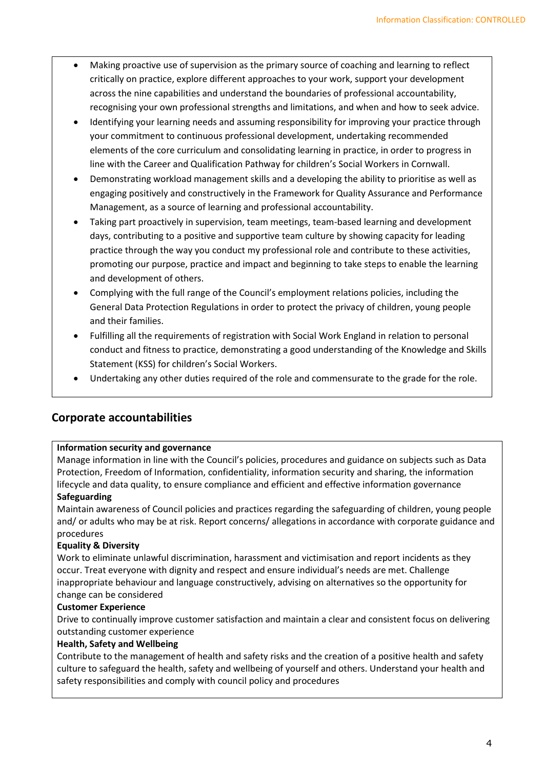- Making proactive use of supervision as the primary source of coaching and learning to reflect critically on practice, explore different approaches to your work, support your development across the nine capabilities and understand the boundaries of professional accountability, recognising your own professional strengths and limitations, and when and how to seek advice.
- Identifying your learning needs and assuming responsibility for improving your practice through your commitment to continuous professional development, undertaking recommended elements of the core curriculum and consolidating learning in practice, in order to progress in line with the Career and Qualification Pathway for children's Social Workers in Cornwall.
- Demonstrating workload management skills and a developing the ability to prioritise as well as engaging positively and constructively in the Framework for Quality Assurance and Performance Management, as a source of learning and professional accountability.
- Taking part proactively in supervision, team meetings, team-based learning and development days, contributing to a positive and supportive team culture by showing capacity for leading practice through the way you conduct my professional role and contribute to these activities, promoting our purpose, practice and impact and beginning to take steps to enable the learning and development of others.
- Complying with the full range of the Council's employment relations policies, including the General Data Protection Regulations in order to protect the privacy of children, young people and their families.
- Fulfilling all the requirements of registration with Social Work England in relation to personal conduct and fitness to practice, demonstrating a good understanding of the Knowledge and Skills Statement (KSS) for children's Social Workers.
- Undertaking any other duties required of the role and commensurate to the grade for the role.

## **Corporate accountabilities**

#### **Information security and governance**

Manage information in line with the Council's policies, procedures and guidance on subjects such as Data Protection, Freedom of Information, confidentiality, information security and sharing, the information lifecycle and data quality, to ensure compliance and efficient and effective information governance

#### **Safeguarding**

Maintain awareness of Council policies and practices regarding the safeguarding of children, young people and/ or adults who may be at risk. Report concerns/ allegations in accordance with corporate guidance and procedures

#### **Equality & Diversity**

Work to eliminate unlawful discrimination, harassment and victimisation and report incidents as they occur. Treat everyone with dignity and respect and ensure individual's needs are met. Challenge inappropriate behaviour and language constructively, advising on alternatives so the opportunity for change can be considered

#### **Customer Experience**

Drive to continually improve customer satisfaction and maintain a clear and consistent focus on delivering outstanding customer experience

#### **Health, Safety and Wellbeing**

Contribute to the management of health and safety risks and the creation of a positive health and safety culture to safeguard the health, safety and wellbeing of yourself and others. Understand your health and safety responsibilities and comply with council policy and procedures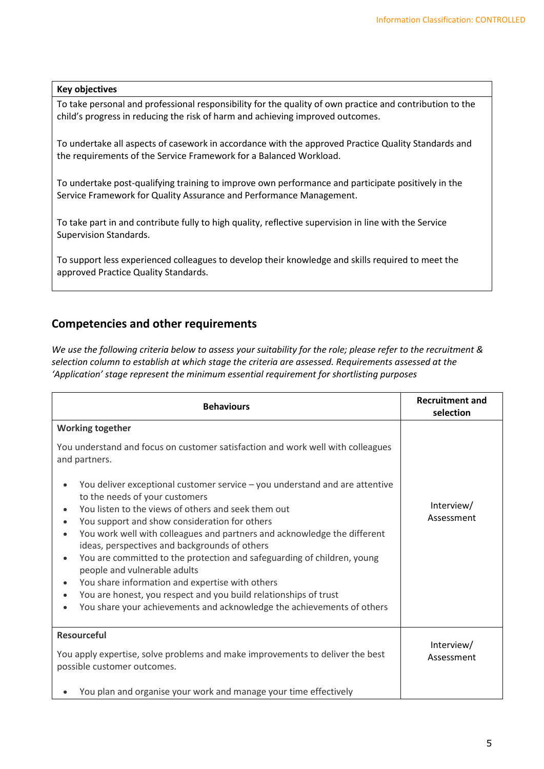#### **Key objectives**

To take personal and professional responsibility for the quality of own practice and contribution to the child's progress in reducing the risk of harm and achieving improved outcomes.

To undertake all aspects of casework in accordance with the approved Practice Quality Standards and the requirements of the Service Framework for a Balanced Workload.

To undertake post-qualifying training to improve own performance and participate positively in the Service Framework for Quality Assurance and Performance Management.

To take part in and contribute fully to high quality, reflective supervision in line with the Service Supervision Standards.

To support less experienced colleagues to develop their knowledge and skills required to meet the approved Practice Quality Standards.

## **Competencies and other requirements**

*We use the following criteria below to assess your suitability for the role; please refer to the recruitment & selection column to establish at which stage the criteria are assessed. Requirements assessed at the 'Application' stage represent the minimum essential requirement for shortlisting purposes*

| <b>Behaviours</b>                                                                                                                                                                                                                                                                                                                                                                                                                                                                                                                                                                                                                                                                                                                                                                                                                                                           | <b>Recruitment and</b><br>selection |
|-----------------------------------------------------------------------------------------------------------------------------------------------------------------------------------------------------------------------------------------------------------------------------------------------------------------------------------------------------------------------------------------------------------------------------------------------------------------------------------------------------------------------------------------------------------------------------------------------------------------------------------------------------------------------------------------------------------------------------------------------------------------------------------------------------------------------------------------------------------------------------|-------------------------------------|
| <b>Working together</b><br>You understand and focus on customer satisfaction and work well with colleagues<br>and partners.<br>You deliver exceptional customer service – you understand and are attentive<br>to the needs of your customers<br>You listen to the views of others and seek them out<br>You support and show consideration for others<br>$\bullet$<br>You work well with colleagues and partners and acknowledge the different<br>$\bullet$<br>ideas, perspectives and backgrounds of others<br>You are committed to the protection and safeguarding of children, young<br>$\bullet$<br>people and vulnerable adults<br>You share information and expertise with others<br>$\bullet$<br>You are honest, you respect and you build relationships of trust<br>$\bullet$<br>You share your achievements and acknowledge the achievements of others<br>$\bullet$ | Interview/<br>Assessment            |
| <b>Resourceful</b><br>You apply expertise, solve problems and make improvements to deliver the best<br>possible customer outcomes.<br>You plan and organise your work and manage your time effectively                                                                                                                                                                                                                                                                                                                                                                                                                                                                                                                                                                                                                                                                      | Interview/<br>Assessment            |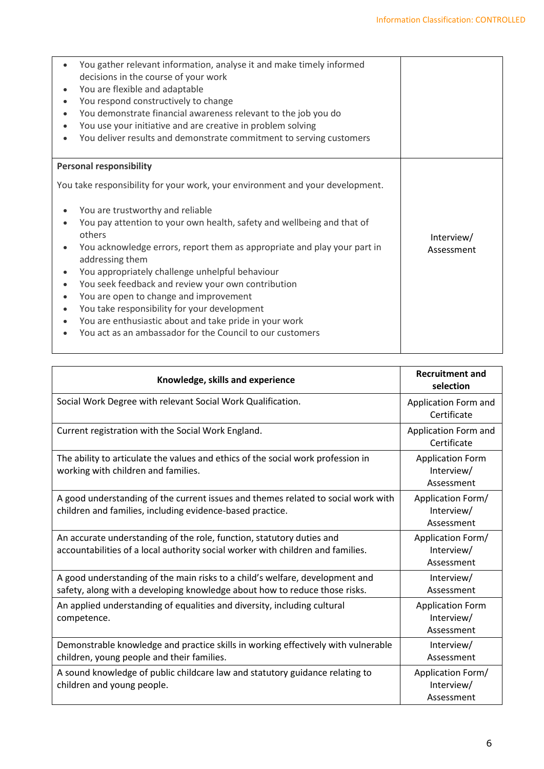| You gather relevant information, analyse it and make timely informed<br>decisions in the course of your work<br>You are flexible and adaptable<br>You respond constructively to change<br>You demonstrate financial awareness relevant to the job you do<br>You use your initiative and are creative in problem solving<br>You deliver results and demonstrate commitment to serving customers                                                                                                                                                |                          |
|-----------------------------------------------------------------------------------------------------------------------------------------------------------------------------------------------------------------------------------------------------------------------------------------------------------------------------------------------------------------------------------------------------------------------------------------------------------------------------------------------------------------------------------------------|--------------------------|
| <b>Personal responsibility</b><br>You take responsibility for your work, your environment and your development.                                                                                                                                                                                                                                                                                                                                                                                                                               |                          |
| You are trustworthy and reliable<br>You pay attention to your own health, safety and wellbeing and that of<br>others<br>You acknowledge errors, report them as appropriate and play your part in<br>addressing them<br>You appropriately challenge unhelpful behaviour<br>You seek feedback and review your own contribution<br>You are open to change and improvement<br>You take responsibility for your development<br>You are enthusiastic about and take pride in your work<br>You act as an ambassador for the Council to our customers | Interview/<br>Assessment |

| Knowledge, skills and experience                                                                                                                           | <b>Recruitment and</b><br>selection                 |
|------------------------------------------------------------------------------------------------------------------------------------------------------------|-----------------------------------------------------|
| Social Work Degree with relevant Social Work Qualification.                                                                                                | Application Form and<br>Certificate                 |
| Current registration with the Social Work England.                                                                                                         | Application Form and<br>Certificate                 |
| The ability to articulate the values and ethics of the social work profession in<br>working with children and families.                                    | <b>Application Form</b><br>Interview/<br>Assessment |
| A good understanding of the current issues and themes related to social work with<br>children and families, including evidence-based practice.             | Application Form/<br>Interview/<br>Assessment       |
| An accurate understanding of the role, function, statutory duties and<br>accountabilities of a local authority social worker with children and families.   | Application Form/<br>Interview/<br>Assessment       |
| A good understanding of the main risks to a child's welfare, development and<br>safety, along with a developing knowledge about how to reduce those risks. | Interview/<br>Assessment                            |
| An applied understanding of equalities and diversity, including cultural<br>competence.                                                                    | <b>Application Form</b><br>Interview/<br>Assessment |
| Demonstrable knowledge and practice skills in working effectively with vulnerable<br>children, young people and their families.                            | Interview/<br>Assessment                            |
| A sound knowledge of public childcare law and statutory guidance relating to<br>children and young people.                                                 | Application Form/<br>Interview/<br>Assessment       |